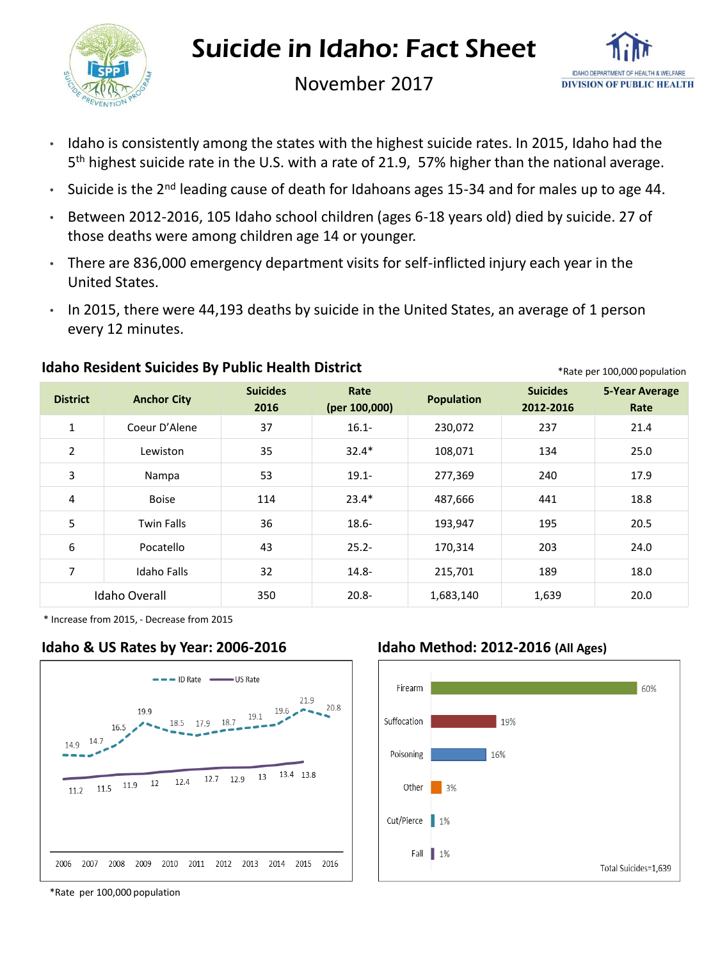

## Suicide in Idaho: Fact Sheet



November 2017

- Idaho is consistently among the states with the highest suicide rates. In 2015, Idaho had the 5 th highest suicide rate in the U.S. with a rate of 21.9, 57% higher than the national average.
- Suicide is the 2<sup>nd</sup> leading cause of death for Idahoans ages 15-34 and for males up to age 44.
- Between 2012-2016, 105 Idaho school children (ages 6-18 years old) died by suicide. 27 of those deaths were among children age 14 or younger.
- There are 836,000 emergency department visits for self-inflicted injury each year in the United States.
- In 2015, there were 44,193 deaths by suicide in the United States, an average of 1 person every 12 minutes.

| <b>District</b> | <b>Anchor City</b> | <b>Suicides</b><br>2016 | Rate<br>(per 100,000) | <b>Population</b> | <b>Suicides</b><br>2012-2016 | <b>5-Year Average</b><br>Rate |
|-----------------|--------------------|-------------------------|-----------------------|-------------------|------------------------------|-------------------------------|
| $\mathbf{1}$    | Coeur D'Alene      | 37                      | $16.1 -$              | 230,072           | 237                          | 21.4                          |
| 2               | Lewiston           | 35                      | $32.4*$               | 108,071           | 134                          | 25.0                          |
| 3               | Nampa              | 53                      | $19.1 -$              | 277,369           | 240                          | 17.9                          |
| 4               | <b>Boise</b>       | 114                     | $23.4*$               | 487,666           | 441                          | 18.8                          |
| 5               | <b>Twin Falls</b>  | 36                      | $18.6 -$              | 193,947           | 195                          | 20.5                          |
| 6               | Pocatello          | 43                      | $25.2 -$              | 170,314           | 203                          | 24.0                          |
| 7               | <b>Idaho Falls</b> | 32                      | $14.8 -$              | 215,701           | 189                          | 18.0                          |
| Idaho Overall   |                    | 350                     | $20.8 -$              | 1,683,140         | 1,639                        | 20.0                          |

#### **Idaho Resident Suicides By Public Health District Algorithm Communist Communist Particle Per 100,000 population**

\* Increase from 2015, - Decrease from 2015

### **Idaho & US Rates by Year: 2006-2016 Idaho Method: 2012-2016 (All Ages)**





\*Rate per 100,000 population